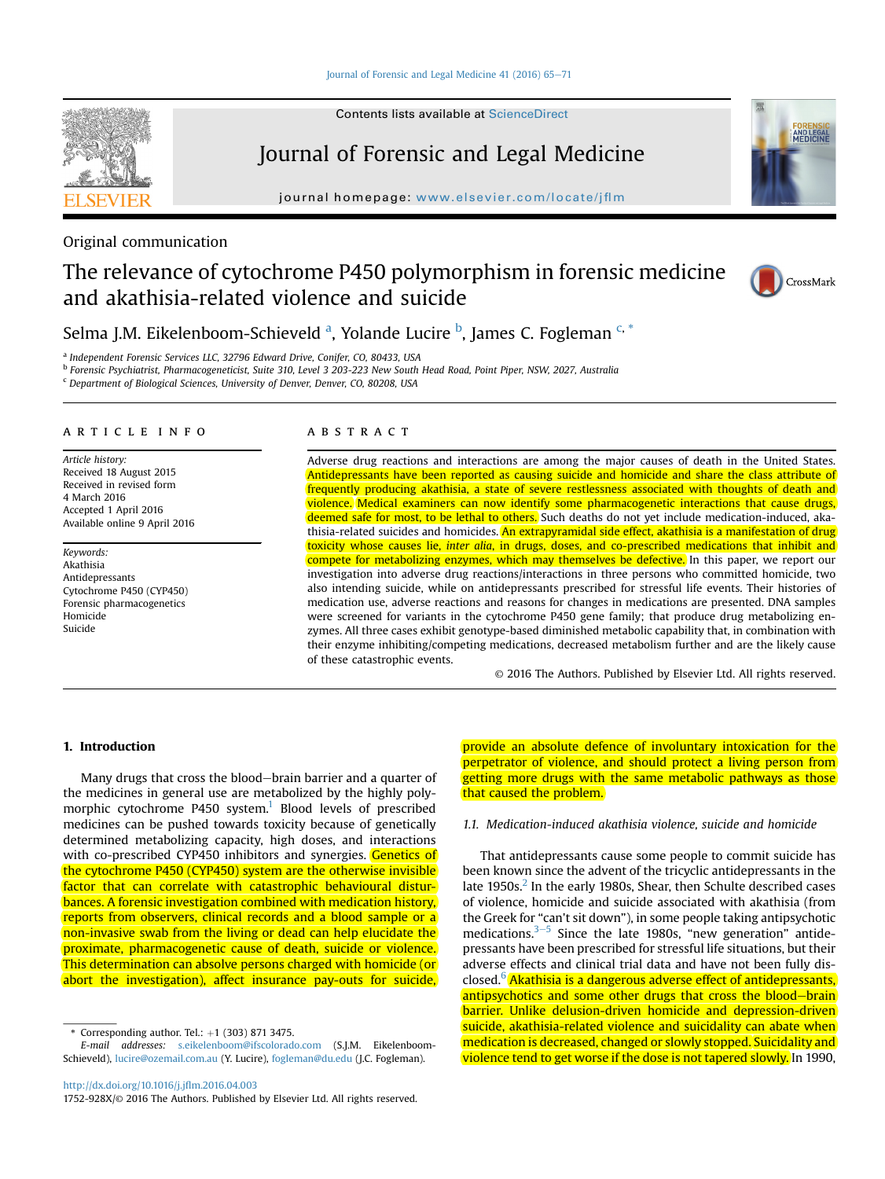Journal of Forensic and Legal Medicine 41 (2016) 65-71

Contents lists available at ScienceDirect

# Journal of Forensic and Legal Medicine

journal homepage: www.elsevier.com/locate/jflm



# The relevance of cytochrome P450 polymorphism in forensic medicine and akathisia-related violence and suicide



**AND LEGAL** 



Selma J.M. Eikelenboom-Schieveld <sup>a</sup>, Yolande Lucire <sup>b</sup>, James C. Fogleman <sup>c, \*</sup>

<sup>a</sup> Independent Forensic Services LLC, 32796 Edward Drive, Conifer, CO, 80433, USA

<sup>b</sup> Forensic Psychiatrist, Pharmacogeneticist, Suite 310, Level 3 203-223 New South Head Road, Point Piper, NSW, 2027, Australia

<sup>c</sup> Department of Biological Sciences, University of Denver, Denver, CO, 80208, USA

#### article info

Article history: Received 18 August 2015 Received in revised form 4 March 2016 Accepted 1 April 2016 Available online 9 April 2016

Keywords: Akathisia Antidepressants Cytochrome P450 (CYP450) Forensic pharmacogenetics Homicide Suicide

# **ABSTRACT**

Adverse drug reactions and interactions are among the major causes of death in the United States. Antidepressants have been reported as causing suicide and homicide and share the class attribute of frequently producing akathisia, a state of severe restlessness associated with thoughts of death and violence. Medical examiners can now identify some pharmacogenetic interactions that cause drugs, deemed safe for most, to be lethal to others. Such deaths do not yet include medication-induced, akathisia-related suicides and homicides. An extrapyramidal side effect, akathisia is a manifestation of drug toxicity whose causes lie, inter alia, in drugs, doses, and co-prescribed medications that inhibit and compete for metabolizing enzymes, which may themselves be defective. In this paper, we report our investigation into adverse drug reactions/interactions in three persons who committed homicide, two also intending suicide, while on antidepressants prescribed for stressful life events. Their histories of medication use, adverse reactions and reasons for changes in medications are presented. DNA samples were screened for variants in the cytochrome P450 gene family; that produce drug metabolizing enzymes. All three cases exhibit genotype-based diminished metabolic capability that, in combination with their enzyme inhibiting/competing medications, decreased metabolism further and are the likely cause of these catastrophic events.

© 2016 The Authors. Published by Elsevier Ltd. All rights reserved.

# 1. Introduction

Many drugs that cross the blood-brain barrier and a quarter of the medicines in general use are metabolized by the highly polymorphic cytochrome P450 system.<sup>1</sup> Blood levels of prescribed medicines can be pushed towards toxicity because of genetically determined metabolizing capacity, high doses, and interactions with co-prescribed CYP450 inhibitors and synergies. Genetics of the cytochrome P450 (CYP450) system are the otherwise invisible factor that can correlate with catastrophic behavioural disturbances. A forensic investigation combined with medication history, reports from observers, clinical records and a blood sample or a non-invasive swab from the living or dead can help elucidate the proximate, pharmacogenetic cause of death, suicide or violence. This determination can absolve persons charged with homicide (or abort the investigation), affect insurance pay-outs for suicide,

E-mail addresses: s.eikelenboom@ifscolorado.com (S.J.M. Eikelenboom-Schieveld), lucire@ozemail.com.au (Y. Lucire), fogleman@du.edu (J.C. Fogleman).

provide an absolute defence of involuntary intoxication for the perpetrator of violence, and should protect a living person from getting more drugs with the same metabolic pathways as those that caused the problem.

# 1.1. Medication-induced akathisia violence, suicide and homicide

That antidepressants cause some people to commit suicide has been known since the advent of the tricyclic antidepressants in the late  $1950s<sup>2</sup>$  In the early 1980s, Shear, then Schulte described cases of violence, homicide and suicide associated with akathisia (from the Greek for "can't sit down"), in some people taking antipsychotic medications. $3-5$  Since the late 1980s, "new generation" antidepressants have been prescribed for stressful life situations, but their adverse effects and clinical trial data and have not been fully disclosed.<sup>6</sup> Akathisia is a dangerous adverse effect of antidepressants, antipsychotics and some other drugs that cross the blood-brain barrier. Unlike delusion-driven homicide and depression-driven suicide, akathisia-related violence and suicidality can abate when medication is decreased, changed or slowly stopped. Suicidality and violence tend to get worse if the dose is not tapered slowly. In 1990,

<sup>\*</sup> Corresponding author. Tel.:  $+1$  (303) 871 3475.

http://dx.doi.org/10.1016/j.jflm.2016.04.003

<sup>1752-928</sup>X/© 2016 The Authors. Published by Elsevier Ltd. All rights reserved.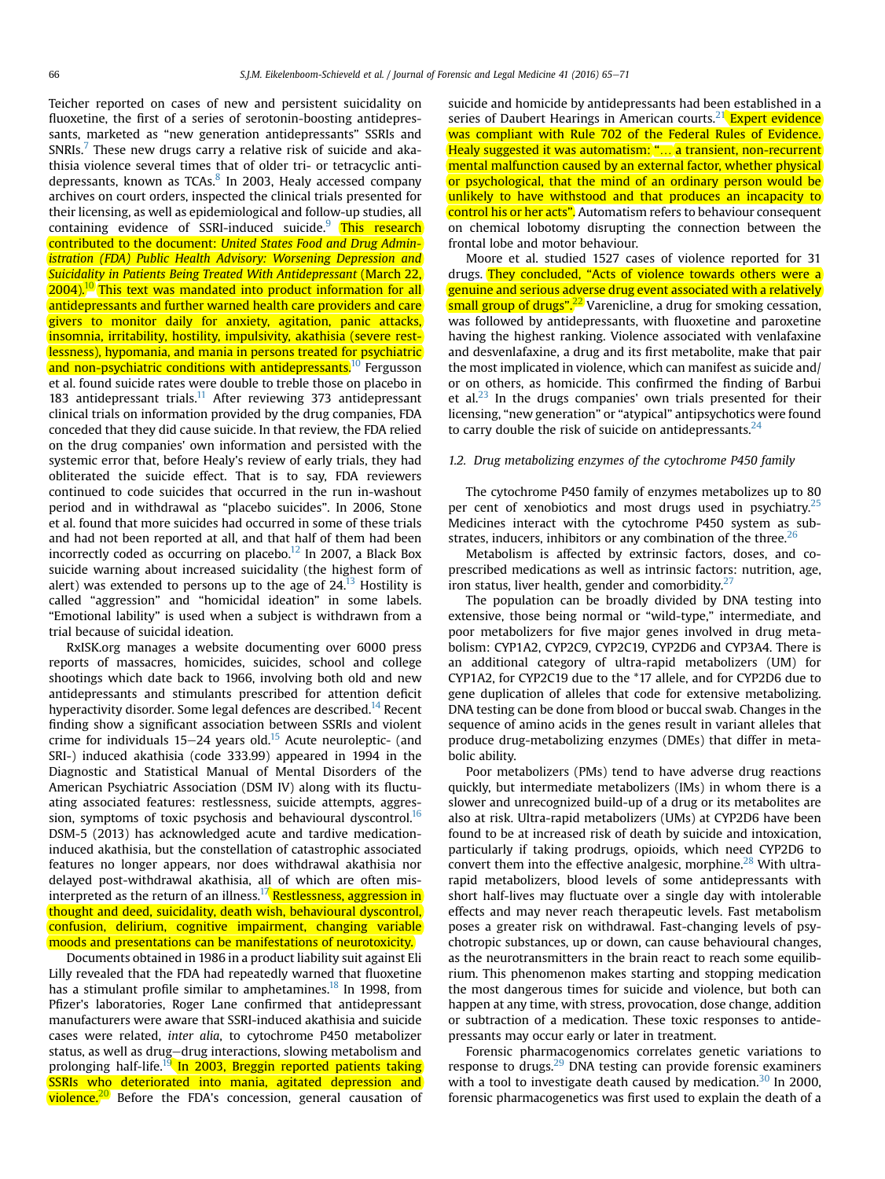Teicher reported on cases of new and persistent suicidality on fluoxetine, the first of a series of serotonin-boosting antidepressants, marketed as "new generation antidepressants" SSRIs and  $SNR$ Is.<sup>7</sup> These new drugs carry a relative risk of suicide and akathisia violence several times that of older tri- or tetracyclic antidepressants, known as TCAs. $8$  In 2003, Healy accessed company archives on court orders, inspected the clinical trials presented for their licensing, as well as epidemiological and follow-up studies, all containing evidence of SSRI-induced suicide.<sup>9</sup> This research contributed to the document: United States Food and Drug Administration (FDA) Public Health Advisory: Worsening Depression and Suicidality in Patients Being Treated With Antidepressant (March 22,  $2004$ ).<sup>10</sup> This text was mandated into product information for all antidepressants and further warned health care providers and care givers to monitor daily for anxiety, agitation, panic attacks, insomnia, irritability, hostility, impulsivity, akathisia (severe restlessness), hypomania, and mania in persons treated for psychiatric and non-psychiatric conditions with antidepressants.<sup>10</sup> Fergusson et al. found suicide rates were double to treble those on placebo in 183 antidepressant trials.<sup>11</sup> After reviewing 373 antidepressant clinical trials on information provided by the drug companies, FDA conceded that they did cause suicide. In that review, the FDA relied on the drug companies' own information and persisted with the systemic error that, before Healy's review of early trials, they had obliterated the suicide effect. That is to say, FDA reviewers continued to code suicides that occurred in the run in-washout period and in withdrawal as "placebo suicides". In 2006, Stone et al. found that more suicides had occurred in some of these trials and had not been reported at all, and that half of them had been incorrectly coded as occurring on placebo.<sup>12</sup> In 2007, a Black Box suicide warning about increased suicidality (the highest form of alert) was extended to persons up to the age of  $24<sup>13</sup>$  Hostility is called "aggression" and "homicidal ideation" in some labels. "Emotional lability" is used when a subject is withdrawn from a trial because of suicidal ideation.

RxISK.org manages a website documenting over 6000 press reports of massacres, homicides, suicides, school and college shootings which date back to 1966, involving both old and new antidepressants and stimulants prescribed for attention deficit hyperactivity disorder. Some legal defences are described.<sup>14</sup> Recent finding show a significant association between SSRIs and violent crime for individuals  $15-24$  years old.<sup>15</sup> Acute neuroleptic- (and SRI-) induced akathisia (code 333.99) appeared in 1994 in the Diagnostic and Statistical Manual of Mental Disorders of the American Psychiatric Association (DSM IV) along with its fluctuating associated features: restlessness, suicide attempts, aggression, symptoms of toxic psychosis and behavioural dyscontrol.<sup>16</sup> DSM-5 (2013) has acknowledged acute and tardive medicationinduced akathisia, but the constellation of catastrophic associated features no longer appears, nor does withdrawal akathisia nor delayed post-withdrawal akathisia, all of which are often misinterpreted as the return of an illness.<sup>17</sup> Restlessness, aggression in thought and deed, suicidality, death wish, behavioural dyscontrol, confusion, delirium, cognitive impairment, changing variable moods and presentations can be manifestations of neurotoxicity.

Documents obtained in 1986 in a product liability suit against Eli Lilly revealed that the FDA had repeatedly warned that fluoxetine has a stimulant profile similar to amphetamines.<sup>18</sup> In 1998, from Pfizer's laboratories, Roger Lane confirmed that antidepressant manufacturers were aware that SSRI-induced akathisia and suicide cases were related, inter alia, to cytochrome P450 metabolizer status, as well as drug-drug interactions, slowing metabolism and prolonging half-life.<sup>19</sup> In 2003, Breggin reported patients taking SSRIs who deteriorated into mania, agitated depression and violence.<sup>20</sup> Before the FDA's concession, general causation of

suicide and homicide by antidepressants had been established in a series of Daubert Hearings in American courts.<sup>21</sup> Expert evidence was compliant with Rule 702 of the Federal Rules of Evidence. Healy suggested it was automatism: "… a transient, non-recurrent mental malfunction caused by an external factor, whether physical or psychological, that the mind of an ordinary person would be unlikely to have withstood and that produces an incapacity to control his or her acts". Automatism refers to behaviour consequent on chemical lobotomy disrupting the connection between the frontal lobe and motor behaviour.

Moore et al. studied 1527 cases of violence reported for 31 drugs. They concluded, "Acts of violence towards others were a genuine and serious adverse drug event associated with a relatively small group of drugs".<sup>22</sup> Varenicline, a drug for smoking cessation, was followed by antidepressants, with fluoxetine and paroxetine having the highest ranking. Violence associated with venlafaxine and desvenlafaxine, a drug and its first metabolite, make that pair the most implicated in violence, which can manifest as suicide and/ or on others, as homicide. This confirmed the finding of Barbui et al. $^{23}$  In the drugs companies' own trials presented for their licensing, "new generation" or "atypical" antipsychotics were found to carry double the risk of suicide on antidepressants. $^{24}$ 

### 1.2. Drug metabolizing enzymes of the cytochrome P450 family

The cytochrome P450 family of enzymes metabolizes up to 80 per cent of xenobiotics and most drugs used in psychiatry. $25$ Medicines interact with the cytochrome P450 system as substrates, inducers, inhibitors or any combination of the three. $^{26}$ 

Metabolism is affected by extrinsic factors, doses, and coprescribed medications as well as intrinsic factors: nutrition, age, iron status, liver health, gender and comorbidity. $27$ 

The population can be broadly divided by DNA testing into extensive, those being normal or "wild-type," intermediate, and poor metabolizers for five major genes involved in drug metabolism: CYP1A2, CYP2C9, CYP2C19, CYP2D6 and CYP3A4. There is an additional category of ultra-rapid metabolizers (UM) for CYP1A2, for CYP2C19 due to the \*17 allele, and for CYP2D6 due to gene duplication of alleles that code for extensive metabolizing. DNA testing can be done from blood or buccal swab. Changes in the sequence of amino acids in the genes result in variant alleles that produce drug-metabolizing enzymes (DMEs) that differ in metabolic ability.

Poor metabolizers (PMs) tend to have adverse drug reactions quickly, but intermediate metabolizers (IMs) in whom there is a slower and unrecognized build-up of a drug or its metabolites are also at risk. Ultra-rapid metabolizers (UMs) at CYP2D6 have been found to be at increased risk of death by suicide and intoxication, particularly if taking prodrugs, opioids, which need CYP2D6 to convert them into the effective analgesic, morphine.<sup>28</sup> With ultrarapid metabolizers, blood levels of some antidepressants with short half-lives may fluctuate over a single day with intolerable effects and may never reach therapeutic levels. Fast metabolism poses a greater risk on withdrawal. Fast-changing levels of psychotropic substances, up or down, can cause behavioural changes, as the neurotransmitters in the brain react to reach some equilibrium. This phenomenon makes starting and stopping medication the most dangerous times for suicide and violence, but both can happen at any time, with stress, provocation, dose change, addition or subtraction of a medication. These toxic responses to antidepressants may occur early or later in treatment.

Forensic pharmacogenomics correlates genetic variations to response to drugs. $29$  DNA testing can provide forensic examiners with a tool to investigate death caused by medication. $30$  In 2000, forensic pharmacogenetics was first used to explain the death of a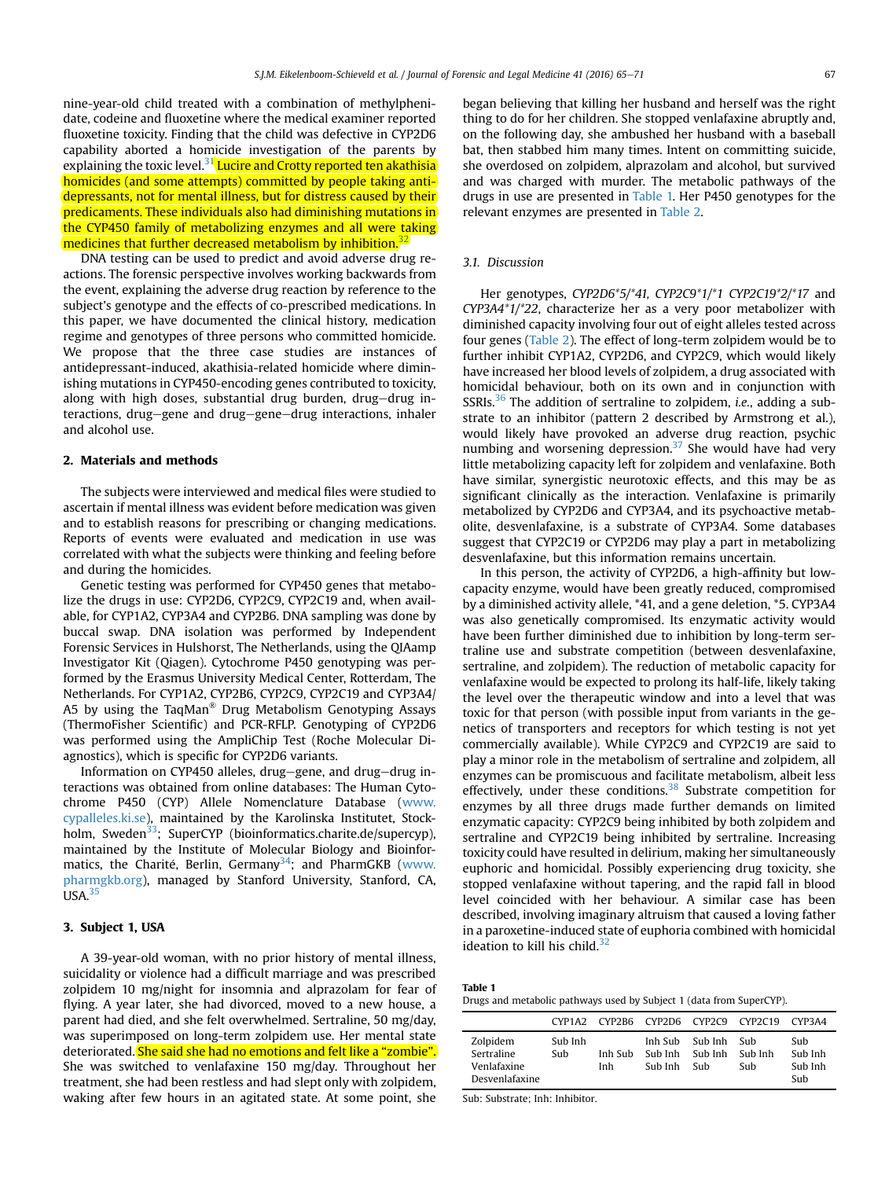nine-year-old child treated with a combination of methylphenidate, codeine and fluoxetine where the medical examiner reported fluoxetine toxicity. Finding that the child was defective in CYP2D6 capability aborted a homicide investigation of the parents by explaining the toxic level.<sup>31</sup> Lucire and Crotty reported ten akathisia homicides (and some attempts) committed by people taking antidepressants, not for mental illness, but for distress caused by their predicaments. These individuals also had diminishing mutations in the CYP450 family of metabolizing enzymes and all were taking medicines that further decreased metabolism by inhibition. $32$ 

DNA testing can be used to predict and avoid adverse drug reactions. The forensic perspective involves working backwards from the event, explaining the adverse drug reaction by reference to the subject's genotype and the effects of co-prescribed medications. In this paper, we have documented the clinical history, medication regime and genotypes of three persons who committed homicide. We propose that the three case studies are instances of antidepressant-induced, akathisia-related homicide where diminishing mutations in CYP450-encoding genes contributed to toxicity, along with high doses, substantial drug burden, drug-drug interactions, drug-gene and drug-gene-drug interactions, inhaler and alcohol use.

# 2. Materials and methods

The subjects were interviewed and medical files were studied to ascertain if mental illness was evident before medication was given and to establish reasons for prescribing or changing medications. Reports of events were evaluated and medication in use was correlated with what the subjects were thinking and feeling before and during the homicides.

Genetic testing was performed for CYP450 genes that metabolize the drugs in use: CYP2D6, CYP2C9, CYP2C19 and, when available, for CYP1A2, CYP3A4 and CYP2B6. DNA sampling was done by buccal swap. DNA isolation was performed by Independent Forensic Services in Hulshorst, The Netherlands, using the QIAamp Investigator Kit (Qiagen). Cytochrome P450 genotyping was performed by the Erasmus University Medical Center, Rotterdam, The Netherlands. For CYP1A2, CYP2B6, CYP2C9, CYP2C19 and CYP3A4/ A5 by using the TaqMan® Drug Metabolism Genotyping Assays (ThermoFisher Scientific) and PCR-RFLP. Genotyping of CYP2D6 was performed using the AmpliChip Test (Roche Molecular Diagnostics), which is specific for CYP2D6 variants.

Information on CYP450 alleles, drug-gene, and drug-drug interactions was obtained from online databases: The Human Cytochrome P450 (CYP) Allele Nomenclature Database (www. cypalleles.ki.se), maintained by the Karolinska Institutet, Stockholm, Sweden<sup>33</sup>; SuperCYP (bioinformatics.charite.de/supercyp), maintained by the Institute of Molecular Biology and Bioinformatics, the Charité, Berlin, Germany<sup>34</sup>; and PharmGKB (www. pharmgkb.org), managed by Stanford University, Stanford, CA,  $USA.<sup>35</sup>$ 

# 3. Subject 1, USA

A 39-year-old woman, with no prior history of mental illness, suicidality or violence had a difficult marriage and was prescribed zolpidem 10 mg/night for insomnia and alprazolam for fear of flying. A year later, she had divorced, moved to a new house, a parent had died, and she felt overwhelmed. Sertraline, 50 mg/day, was superimposed on long-term zolpidem use. Her mental state deteriorated. She said she had no emotions and felt like a "zombie". She was switched to venlafaxine 150 mg/day. Throughout her treatment, she had been restless and had slept only with zolpidem, waking after few hours in an agitated state. At some point, she began believing that killing her husband and herself was the right thing to do for her children. She stopped venlafaxine abruptly and, on the following day, she ambushed her husband with a baseball bat, then stabbed him many times. Intent on committing suicide, she overdosed on zolpidem, alprazolam and alcohol, but survived and was charged with murder. The metabolic pathways of the drugs in use are presented in Table 1. Her P450 genotypes for the relevant enzymes are presented in Table 2.

# 3.1. Discussion

Her genotypes, CYP2D6\*5/\*41, CYP2C9\*1/\*1 CYP2C19\*2/\*17 and CYP3A4\*1/\*22, characterize her as a very poor metabolizer with diminished capacity involving four out of eight alleles tested across four genes (Table 2). The effect of long-term zolpidem would be to further inhibit CYP1A2, CYP2D6, and CYP2C9, which would likely have increased her blood levels of zolpidem, a drug associated with homicidal behaviour, both on its own and in conjunction with SSRIs.<sup>36</sup> The addition of sertraline to zolpidem, *i.e.*, adding a substrate to an inhibitor (pattern 2 described by Armstrong et al.), would likely have provoked an adverse drug reaction, psychic numbing and worsening depression. $37$  She would have had very little metabolizing capacity left for zolpidem and venlafaxine. Both have similar, synergistic neurotoxic effects, and this may be as significant clinically as the interaction. Venlafaxine is primarily metabolized by CYP2D6 and CYP3A4, and its psychoactive metabolite, desvenlafaxine, is a substrate of CYP3A4. Some databases suggest that CYP2C19 or CYP2D6 may play a part in metabolizing desvenlafaxine, but this information remains uncertain.

In this person, the activity of CYP2D6, a high-affinity but lowcapacity enzyme, would have been greatly reduced, compromised by a diminished activity allele, \*41, and a gene deletion, \*5. CYP3A4 was also genetically compromised. Its enzymatic activity would have been further diminished due to inhibition by long-term sertraline use and substrate competition (between desvenlafaxine, sertraline, and zolpidem). The reduction of metabolic capacity for venlafaxine would be expected to prolong its half-life, likely taking the level over the therapeutic window and into a level that was toxic for that person (with possible input from variants in the genetics of transporters and receptors for which testing is not yet commercially available). While CYP2C9 and CYP2C19 are said to play a minor role in the metabolism of sertraline and zolpidem, all enzymes can be promiscuous and facilitate metabolism, albeit less effectively, under these conditions.<sup>38</sup> Substrate competition for enzymes by all three drugs made further demands on limited enzymatic capacity: CYP2C9 being inhibited by both zolpidem and sertraline and CYP2C19 being inhibited by sertraline. Increasing toxicity could have resulted in delirium, making her simultaneously euphoric and homicidal. Possibly experiencing drug toxicity, she stopped venlafaxine without tapering, and the rapid fall in blood level coincided with her behaviour. A similar case has been described, involving imaginary altruism that caused a loving father in a paroxetine-induced state of euphoria combined with homicidal ideation to kill his child. $32$ 

| Table 1                                                              |  |
|----------------------------------------------------------------------|--|
| Drugs and metabolic pathways used by Subject 1 (data from SuperCYP). |  |

|                                                         | CYP1A2         | CYP2B6         |                               |                                       | CYP2D6 CYP2C9 CYP2C19 | CYP3A4                           |
|---------------------------------------------------------|----------------|----------------|-------------------------------|---------------------------------------|-----------------------|----------------------------------|
| Zolpidem<br>Sertraline<br>Venlafaxine<br>Desvenlafaxine | Sub Inh<br>Sub | Inh Sub<br>Inh | Inh Sub<br>Sub Inh<br>Sub Inh | Sub Inh Sub<br>Sub Inh Sub Inh<br>Sub | Sub                   | Sub<br>Sub Inh<br>Sub Inh<br>Sub |

Sub: Substrate; Inh: Inhibitor.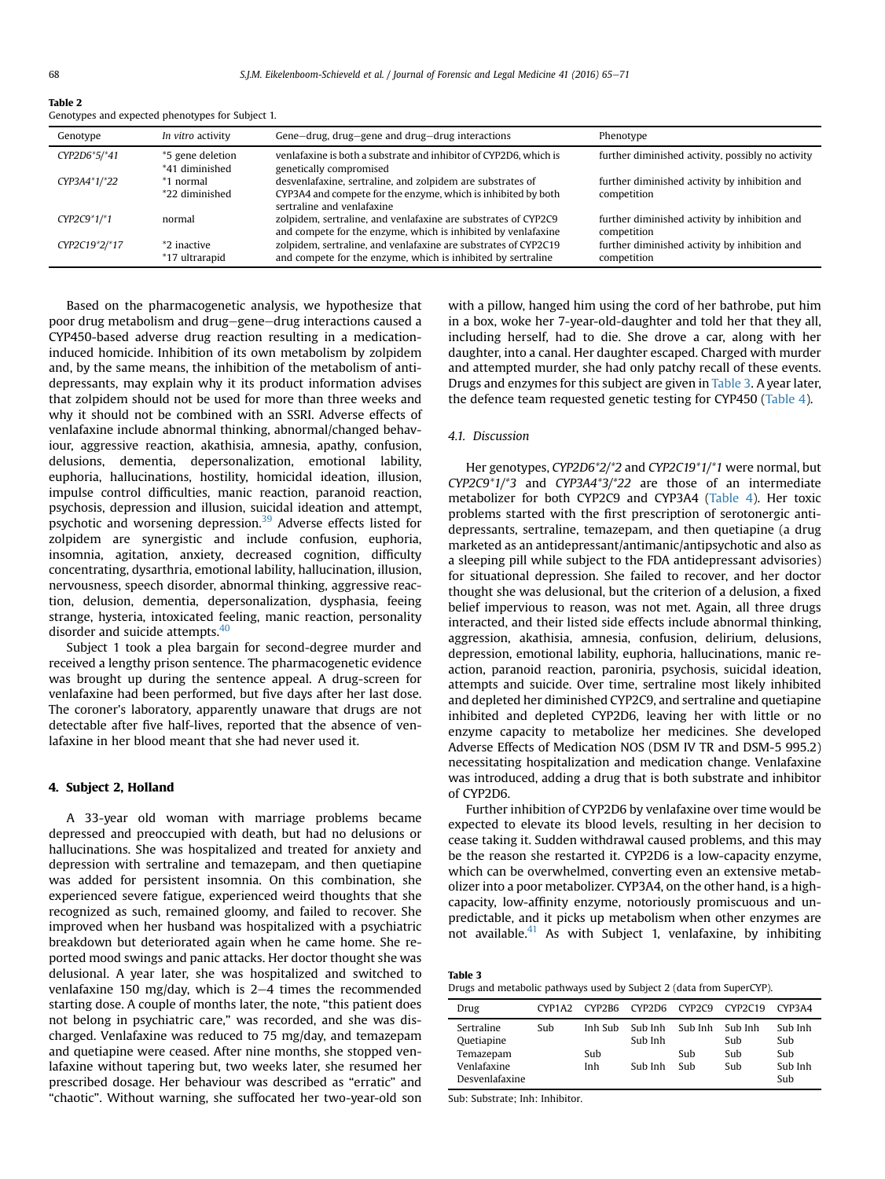| Table 2 |                                                  |
|---------|--------------------------------------------------|
|         | Genotypes and expected phenotypes for Subject 1. |

| Genotype      | In vitro activity                  | Gene-drug, drug-gene and drug-drug interactions                                                                                                           | Phenotype                                                    |
|---------------|------------------------------------|-----------------------------------------------------------------------------------------------------------------------------------------------------------|--------------------------------------------------------------|
| CYP2D6*5/*41  | *5 gene deletion<br>*41 diminished | venlafaxine is both a substrate and inhibitor of CYP2D6, which is<br>genetically compromised                                                              | further diminished activity, possibly no activity            |
| CYP3A4*1/*22  | *1 normal<br>*22 diminished        | desvenlafaxine, sertraline, and zolpidem are substrates of<br>CYP3A4 and compete for the enzyme, which is inhibited by both<br>sertraline and venlafaxine | further diminished activity by inhibition and<br>competition |
| $CYP2C9*1/*1$ | normal                             | zolpidem, sertraline, and venlafaxine are substrates of CYP2C9<br>and compete for the enzyme, which is inhibited by venlafaxine                           | further diminished activity by inhibition and<br>competition |
| CYP2C19*2/*17 | *2 inactive<br>*17 ultrarapid      | zolpidem, sertraline, and venlafaxine are substrates of CYP2C19<br>and compete for the enzyme, which is inhibited by sertraline                           | further diminished activity by inhibition and<br>competition |

Based on the pharmacogenetic analysis, we hypothesize that poor drug metabolism and drug-gene-drug interactions caused a CYP450-based adverse drug reaction resulting in a medicationinduced homicide. Inhibition of its own metabolism by zolpidem and, by the same means, the inhibition of the metabolism of antidepressants, may explain why it its product information advises that zolpidem should not be used for more than three weeks and why it should not be combined with an SSRI. Adverse effects of venlafaxine include abnormal thinking, abnormal/changed behaviour, aggressive reaction, akathisia, amnesia, apathy, confusion, delusions, dementia, depersonalization, emotional lability, euphoria, hallucinations, hostility, homicidal ideation, illusion, impulse control difficulties, manic reaction, paranoid reaction, psychosis, depression and illusion, suicidal ideation and attempt, psychotic and worsening depression.<sup>39</sup> Adverse effects listed for zolpidem are synergistic and include confusion, euphoria, insomnia, agitation, anxiety, decreased cognition, difficulty concentrating, dysarthria, emotional lability, hallucination, illusion, nervousness, speech disorder, abnormal thinking, aggressive reaction, delusion, dementia, depersonalization, dysphasia, feeing strange, hysteria, intoxicated feeling, manic reaction, personality disorder and suicide attempts.<sup>40</sup>

Subject 1 took a plea bargain for second-degree murder and received a lengthy prison sentence. The pharmacogenetic evidence was brought up during the sentence appeal. A drug-screen for venlafaxine had been performed, but five days after her last dose. The coroner's laboratory, apparently unaware that drugs are not detectable after five half-lives, reported that the absence of venlafaxine in her blood meant that she had never used it.

# 4. Subject 2, Holland

A 33-year old woman with marriage problems became depressed and preoccupied with death, but had no delusions or hallucinations. She was hospitalized and treated for anxiety and depression with sertraline and temazepam, and then quetiapine was added for persistent insomnia. On this combination, she experienced severe fatigue, experienced weird thoughts that she recognized as such, remained gloomy, and failed to recover. She improved when her husband was hospitalized with a psychiatric breakdown but deteriorated again when he came home. She reported mood swings and panic attacks. Her doctor thought she was delusional. A year later, she was hospitalized and switched to venlafaxine 150 mg/day, which is  $2-4$  times the recommended starting dose. A couple of months later, the note, "this patient does not belong in psychiatric care," was recorded, and she was discharged. Venlafaxine was reduced to 75 mg/day, and temazepam and quetiapine were ceased. After nine months, she stopped venlafaxine without tapering but, two weeks later, she resumed her prescribed dosage. Her behaviour was described as "erratic" and "chaotic". Without warning, she suffocated her two-year-old son with a pillow, hanged him using the cord of her bathrobe, put him in a box, woke her 7-year-old-daughter and told her that they all, including herself, had to die. She drove a car, along with her daughter, into a canal. Her daughter escaped. Charged with murder and attempted murder, she had only patchy recall of these events. Drugs and enzymes for this subject are given in Table 3. A year later, the defence team requested genetic testing for CYP450 (Table 4).

#### 4.1. Discussion

Her genotypes, CYP2D6\*2/\*2 and CYP2C19\*1/\*1 were normal, but CYP2C9\*1/\*3 and CYP3A4\*3/\*22 are those of an intermediate metabolizer for both CYP2C9 and CYP3A4 (Table 4). Her toxic problems started with the first prescription of serotonergic antidepressants, sertraline, temazepam, and then quetiapine (a drug marketed as an antidepressant/antimanic/antipsychotic and also as a sleeping pill while subject to the FDA antidepressant advisories) for situational depression. She failed to recover, and her doctor thought she was delusional, but the criterion of a delusion, a fixed belief impervious to reason, was not met. Again, all three drugs interacted, and their listed side effects include abnormal thinking, aggression, akathisia, amnesia, confusion, delirium, delusions, depression, emotional lability, euphoria, hallucinations, manic reaction, paranoid reaction, paroniria, psychosis, suicidal ideation, attempts and suicide. Over time, sertraline most likely inhibited and depleted her diminished CYP2C9, and sertraline and quetiapine inhibited and depleted CYP2D6, leaving her with little or no enzyme capacity to metabolize her medicines. She developed Adverse Effects of Medication NOS (DSM IV TR and DSM-5 995.2) necessitating hospitalization and medication change. Venlafaxine was introduced, adding a drug that is both substrate and inhibitor of CYP2D6.

Further inhibition of CYP2D6 by venlafaxine over time would be expected to elevate its blood levels, resulting in her decision to cease taking it. Sudden withdrawal caused problems, and this may be the reason she restarted it. CYP2D6 is a low-capacity enzyme, which can be overwhelmed, converting even an extensive metabolizer into a poor metabolizer. CYP3A4, on the other hand, is a highcapacity, low-affinity enzyme, notoriously promiscuous and unpredictable, and it picks up metabolism when other enzymes are not available. $41$  As with Subject 1, venlafaxine, by inhibiting

| Table 3                                                              |  |
|----------------------------------------------------------------------|--|
| Drugs and metabolic pathways used by Subject 2 (data from SuperCYP). |  |

| Drug                                                                   | CYP1A2 | CYP2B6                | CYP2D6                        | CYP2C9                | <b>CYP2C19</b>               | CYP3A4                                  |
|------------------------------------------------------------------------|--------|-----------------------|-------------------------------|-----------------------|------------------------------|-----------------------------------------|
| Sertraline<br>Quetiapine<br>Temazepam<br>Venlafaxine<br>Desvenlafaxine | Sub    | Inh Sub<br>Sub<br>Inh | Sub Inh<br>Sub Inh<br>Sub Inh | Sub Inh<br>Sub<br>Sub | Sub Inh<br>Sub<br>Sub<br>Sub | Sub Inh<br>Sub<br>Sub<br>Sub Inh<br>Sub |

Sub: Substrate; Inh: Inhibitor.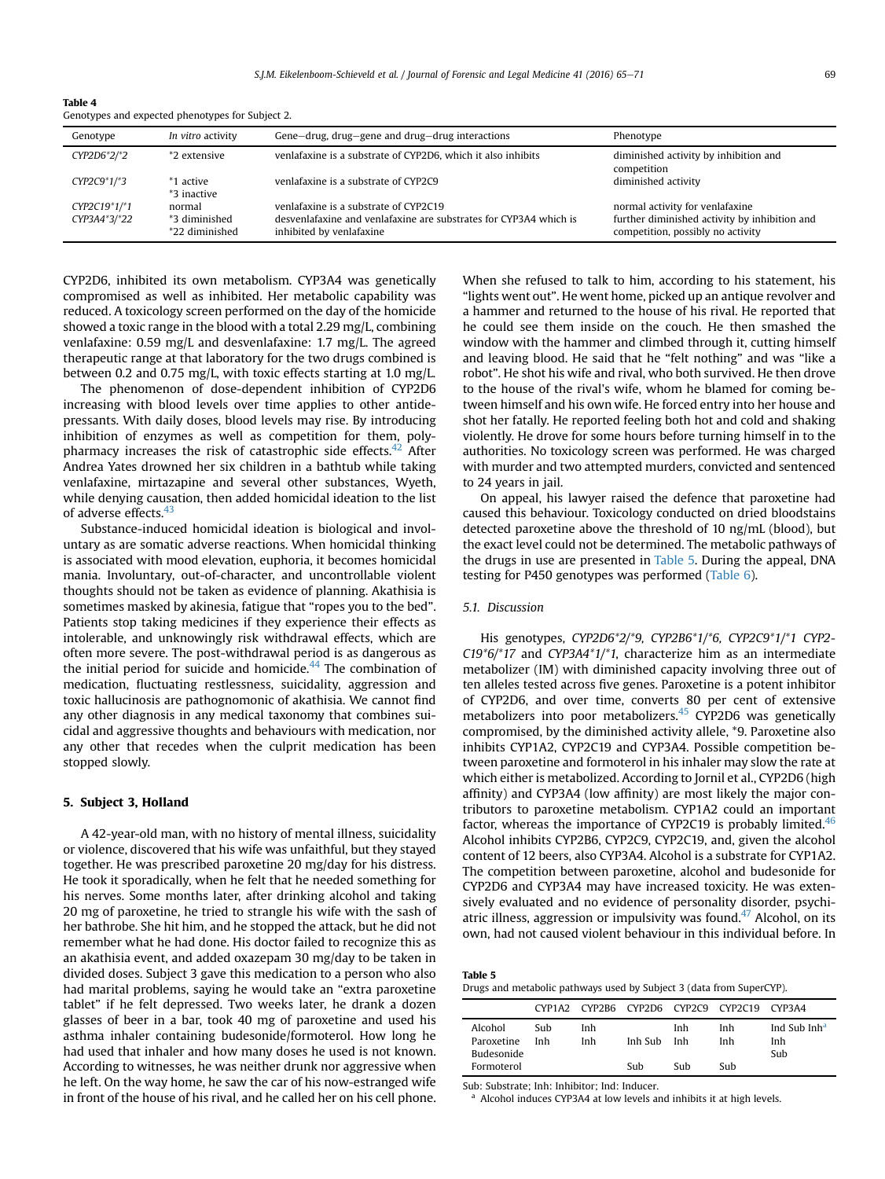| -lable 4                                         |  |  |
|--------------------------------------------------|--|--|
| Genotypes and expected phenotypes for Subject 2. |  |  |

 $T = T$ 

| Genotype                     | In vitro activity                         | Gene-drug, drug-gene and drug-drug interactions                                                                                        | Phenotype                                                                                                             |
|------------------------------|-------------------------------------------|----------------------------------------------------------------------------------------------------------------------------------------|-----------------------------------------------------------------------------------------------------------------------|
| CYP2D6*2/*2                  | *2 extensive                              | venlafaxine is a substrate of CYP2D6, which it also inhibits                                                                           | diminished activity by inhibition and<br>competition                                                                  |
| $CYP2C9*1/*3$                | *1 active<br>*3 inactive                  | venlafaxine is a substrate of CYP2C9                                                                                                   | diminished activity                                                                                                   |
| CYP2C19*1/*1<br>CYP3A4*3/*22 | normal<br>*3 diminished<br>*22 diminished | venlafaxine is a substrate of CYP2C19<br>desvenlafaxine and venlafaxine are substrates for CYP3A4 which is<br>inhibited by venlafaxine | normal activity for venlafaxine<br>further diminished activity by inhibition and<br>competition, possibly no activity |

CYP2D6, inhibited its own metabolism. CYP3A4 was genetically compromised as well as inhibited. Her metabolic capability was reduced. A toxicology screen performed on the day of the homicide showed a toxic range in the blood with a total 2.29 mg/L, combining venlafaxine: 0.59 mg/L and desvenlafaxine: 1.7 mg/L. The agreed therapeutic range at that laboratory for the two drugs combined is between 0.2 and 0.75 mg/L, with toxic effects starting at 1.0 mg/L.

The phenomenon of dose-dependent inhibition of CYP2D6 increasing with blood levels over time applies to other antidepressants. With daily doses, blood levels may rise. By introducing inhibition of enzymes as well as competition for them, polypharmacy increases the risk of catastrophic side effects. $42$  After Andrea Yates drowned her six children in a bathtub while taking venlafaxine, mirtazapine and several other substances, Wyeth, while denying causation, then added homicidal ideation to the list of adverse effects.<sup>43</sup>

Substance-induced homicidal ideation is biological and involuntary as are somatic adverse reactions. When homicidal thinking is associated with mood elevation, euphoria, it becomes homicidal mania. Involuntary, out-of-character, and uncontrollable violent thoughts should not be taken as evidence of planning. Akathisia is sometimes masked by akinesia, fatigue that "ropes you to the bed". Patients stop taking medicines if they experience their effects as intolerable, and unknowingly risk withdrawal effects, which are often more severe. The post-withdrawal period is as dangerous as the initial period for suicide and homicide.<sup>44</sup> The combination of medication, fluctuating restlessness, suicidality, aggression and toxic hallucinosis are pathognomonic of akathisia. We cannot find any other diagnosis in any medical taxonomy that combines suicidal and aggressive thoughts and behaviours with medication, nor any other that recedes when the culprit medication has been stopped slowly.

# 5. Subject 3, Holland

A 42-year-old man, with no history of mental illness, suicidality or violence, discovered that his wife was unfaithful, but they stayed together. He was prescribed paroxetine 20 mg/day for his distress. He took it sporadically, when he felt that he needed something for his nerves. Some months later, after drinking alcohol and taking 20 mg of paroxetine, he tried to strangle his wife with the sash of her bathrobe. She hit him, and he stopped the attack, but he did not remember what he had done. His doctor failed to recognize this as an akathisia event, and added oxazepam 30 mg/day to be taken in divided doses. Subject 3 gave this medication to a person who also had marital problems, saying he would take an "extra paroxetine tablet" if he felt depressed. Two weeks later, he drank a dozen glasses of beer in a bar, took 40 mg of paroxetine and used his asthma inhaler containing budesonide/formoterol. How long he had used that inhaler and how many doses he used is not known. According to witnesses, he was neither drunk nor aggressive when he left. On the way home, he saw the car of his now-estranged wife in front of the house of his rival, and he called her on his cell phone. When she refused to talk to him, according to his statement, his "lights went out". He went home, picked up an antique revolver and a hammer and returned to the house of his rival. He reported that he could see them inside on the couch. He then smashed the window with the hammer and climbed through it, cutting himself and leaving blood. He said that he "felt nothing" and was "like a robot". He shot his wife and rival, who both survived. He then drove to the house of the rival's wife, whom he blamed for coming between himself and his own wife. He forced entry into her house and shot her fatally. He reported feeling both hot and cold and shaking violently. He drove for some hours before turning himself in to the authorities. No toxicology screen was performed. He was charged with murder and two attempted murders, convicted and sentenced to 24 years in jail.

On appeal, his lawyer raised the defence that paroxetine had caused this behaviour. Toxicology conducted on dried bloodstains detected paroxetine above the threshold of 10 ng/mL (blood), but the exact level could not be determined. The metabolic pathways of the drugs in use are presented in Table 5. During the appeal, DNA testing for P450 genotypes was performed (Table 6).

### 5.1. Discussion

His genotypes, CYP2D6\*2/\*9, CYP2B6\*1/\*6, CYP2C9\*1/\*1 CYP2- C19\*6/\*17 and CYP3A4\*1/\*1, characterize him as an intermediate metabolizer (IM) with diminished capacity involving three out of ten alleles tested across five genes. Paroxetine is a potent inhibitor of CYP2D6, and over time, converts 80 per cent of extensive or C112D0, and over time, converts to per cent or extensive<br>metabolizers into poor metabolizers.<sup>45</sup> CYP2D6 was genetically compromised, by the diminished activity allele, \*9. Paroxetine also inhibits CYP1A2, CYP2C19 and CYP3A4. Possible competition between paroxetine and formoterol in his inhaler may slow the rate at which either is metabolized. According to Jornil et al., CYP2D6 (high affinity) and CYP3A4 (low affinity) are most likely the major contributors to paroxetine metabolism. CYP1A2 could an important factor, whereas the importance of CYP2C19 is probably limited. $46$ Alcohol inhibits CYP2B6, CYP2C9, CYP2C19, and, given the alcohol content of 12 beers, also CYP3A4. Alcohol is a substrate for CYP1A2. The competition between paroxetine, alcohol and budesonide for CYP2D6 and CYP3A4 may have increased toxicity. He was extensively evaluated and no evidence of personality disorder, psychiatric illness, aggression or impulsivity was found. $47$  Alcohol, on its own, had not caused violent behaviour in this individual before. In

| ı |  |
|---|--|
|---|--|

Drugs and metabolic pathways used by Subject 3 (data from SuperCYP).

| Alcohol<br>Sub<br>Inh<br>Inh<br>Inh<br>Inh<br>Inh Sub<br>Paroxetine<br>Inh<br>Inh<br>Inh<br>Inh |  |  | CYP1A2 CYP2B6 CYP2D6 CYP2C9 CYP2C19 CYP3A4 |                          |
|-------------------------------------------------------------------------------------------------|--|--|--------------------------------------------|--------------------------|
| Budesonide<br>Sub<br>Formoterol<br>Sub<br>Sub<br>Sub                                            |  |  |                                            | Ind Sub Inh <sup>a</sup> |

Sub: Substrate; Inh: Inhibitor; Ind: Inducer.

Alcohol induces CYP3A4 at low levels and inhibits it at high levels.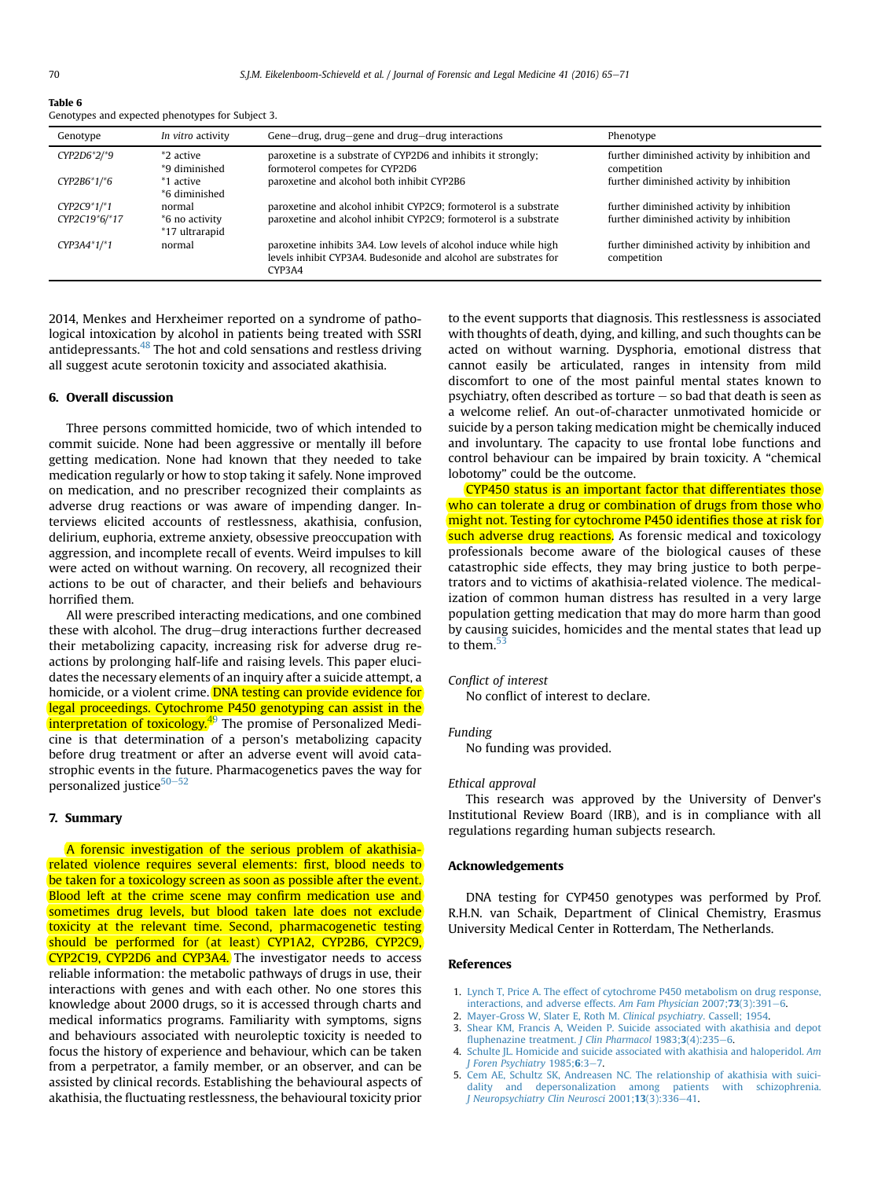| Table 6                                          |  |
|--------------------------------------------------|--|
| Genotypes and expected phenotypes for Subject 3. |  |

| Genotype      | In vitro activity                | Gene-drug, drug-gene and drug-drug interactions                                                                                                | Phenotype                                                    |
|---------------|----------------------------------|------------------------------------------------------------------------------------------------------------------------------------------------|--------------------------------------------------------------|
| CYP2D6*2/*9   | *2 active<br>*9 diminished       | paroxetine is a substrate of CYP2D6 and inhibits it strongly;<br>formoterol competes for CYP2D6                                                | further diminished activity by inhibition and<br>competition |
| $CYP2B6*1/*6$ | *1 active<br>*6 diminished       | paroxetine and alcohol both inhibit CYP2B6                                                                                                     | further diminished activity by inhibition                    |
| $CYP2C9*1/*1$ | normal                           | paroxetine and alcohol inhibit CYP2C9; formoterol is a substrate                                                                               | further diminished activity by inhibition                    |
| CYP2C19*6/*17 | *6 no activity<br>*17 ultrarapid | paroxetine and alcohol inhibit CYP2C9; formoterol is a substrate                                                                               | further diminished activity by inhibition                    |
| $CYP3A4*1/*1$ | normal                           | paroxetine inhibits 3A4. Low levels of alcohol induce while high<br>levels inhibit CYP3A4. Budesonide and alcohol are substrates for<br>CYP3A4 | further diminished activity by inhibition and<br>competition |

2014, Menkes and Herxheimer reported on a syndrome of pathological intoxication by alcohol in patients being treated with SSRI antidepressants.<sup>48</sup> The hot and cold sensations and restless driving all suggest acute serotonin toxicity and associated akathisia.

# 6. Overall discussion

Three persons committed homicide, two of which intended to commit suicide. None had been aggressive or mentally ill before getting medication. None had known that they needed to take medication regularly or how to stop taking it safely. None improved on medication, and no prescriber recognized their complaints as adverse drug reactions or was aware of impending danger. Interviews elicited accounts of restlessness, akathisia, confusion, delirium, euphoria, extreme anxiety, obsessive preoccupation with aggression, and incomplete recall of events. Weird impulses to kill were acted on without warning. On recovery, all recognized their actions to be out of character, and their beliefs and behaviours horrified them.

All were prescribed interacting medications, and one combined these with alcohol. The drug-drug interactions further decreased their metabolizing capacity, increasing risk for adverse drug reactions by prolonging half-life and raising levels. This paper elucidates the necessary elements of an inquiry after a suicide attempt, a homicide, or a violent crime. DNA testing can provide evidence for legal proceedings. Cytochrome P450 genotyping can assist in the interpretation of toxicology.<sup>49</sup> The promise of Personalized Medicine is that determination of a person's metabolizing capacity before drug treatment or after an adverse event will avoid catastrophic events in the future. Pharmacogenetics paves the way for personalized justice $50-52$ 

# 7. Summary

A forensic investigation of the serious problem of akathisiarelated violence requires several elements: first, blood needs to be taken for a toxicology screen as soon as possible after the event. Blood left at the crime scene may confirm medication use and sometimes drug levels, but blood taken late does not exclude toxicity at the relevant time. Second, pharmacogenetic testing should be performed for (at least) CYP1A2, CYP2B6, CYP2C9, CYP2C19, CYP2D6 and CYP3A4. The investigator needs to access reliable information: the metabolic pathways of drugs in use, their interactions with genes and with each other. No one stores this knowledge about 2000 drugs, so it is accessed through charts and medical informatics programs. Familiarity with symptoms, signs and behaviours associated with neuroleptic toxicity is needed to focus the history of experience and behaviour, which can be taken from a perpetrator, a family member, or an observer, and can be assisted by clinical records. Establishing the behavioural aspects of akathisia, the fluctuating restlessness, the behavioural toxicity prior to the event supports that diagnosis. This restlessness is associated with thoughts of death, dying, and killing, and such thoughts can be acted on without warning. Dysphoria, emotional distress that cannot easily be articulated, ranges in intensity from mild discomfort to one of the most painful mental states known to psychiatry, often described as torture  $-$  so bad that death is seen as a welcome relief. An out-of-character unmotivated homicide or suicide by a person taking medication might be chemically induced and involuntary. The capacity to use frontal lobe functions and control behaviour can be impaired by brain toxicity. A "chemical lobotomy" could be the outcome.

CYP450 status is an important factor that differentiates those who can tolerate a drug or combination of drugs from those who might not. Testing for cytochrome P450 identifies those at risk for such adverse drug reactions. As forensic medical and toxicology professionals become aware of the biological causes of these catastrophic side effects, they may bring justice to both perpetrators and to victims of akathisia-related violence. The medicalization of common human distress has resulted in a very large population getting medication that may do more harm than good by causing suicides, homicides and the mental states that lead up to them. $55$ 

#### Conflict of interest

No conflict of interest to declare.

#### Funding

No funding was provided.

#### Ethical approval

This research was approved by the University of Denver's Institutional Review Board (IRB), and is in compliance with all regulations regarding human subjects research.

#### Acknowledgements

DNA testing for CYP450 genotypes was performed by Prof. R.H.N. van Schaik, Department of Clinical Chemistry, Erasmus University Medical Center in Rotterdam, The Netherlands.

#### **References**

- 1. Lynch T, Price A. The effect of cytochrome P450 metabolism on drug response, interactions, and adverse effects. Am Fam Physician  $2007;73(3):391-6$ .
- 2. Mayer-Gross W, Slater E, Roth M. Clinical psychiatry. Cassell; 1954.
- 3. Shear KM, Francis A, Weiden P. Suicide associated with akathisia and depot fluphenazine treatment. J Clin Pharmacol 1983;3(4):235-6.
- 4. Schulte JL. Homicide and suicide associated with akathisia and haloperidol. Am J Foren Psychiatry 1985;6:3-7.
- 5. Cem AE, Schultz SK, Andreasen NC. The relationship of akathisia with suicidality and depersonalization among patients with schizophrenia. J Neuropsychiatry Clin Neurosci 2001;13(3):336-41.